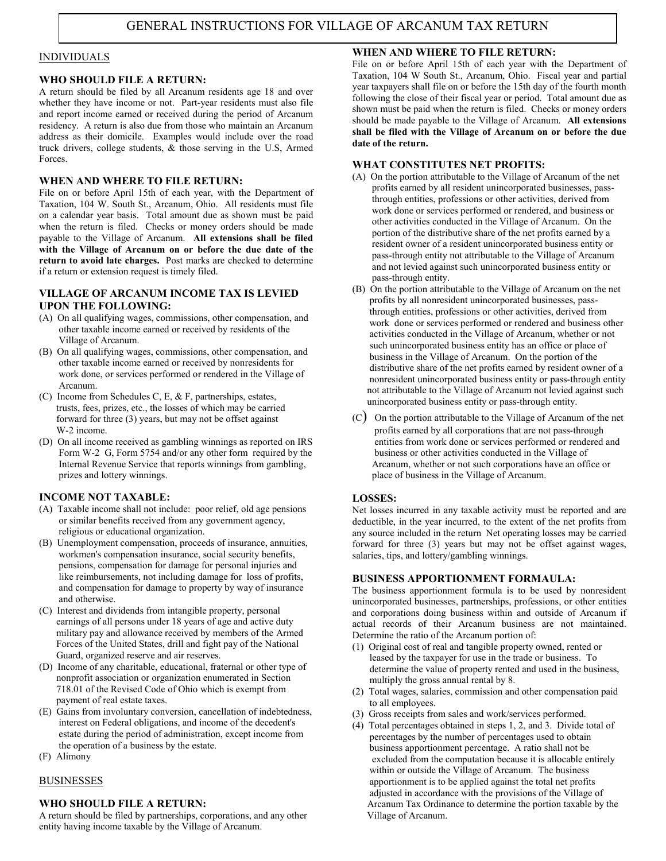#### INDIVIDUALS

#### WHO SHOULD FILE A RETURN:

A return should be filed by all Arcanum residents age 18 and over whether they have income or not. Part-year residents must also file and report income earned or received during the period of Arcanum residency. A return is also due from those who maintain an Arcanum address as their domicile. Examples would include over the road truck drivers, college students, & those serving in the U.S, Armed Forces.

### WHEN AND WHERE TO FILE RETURN:

File on or before April 15th of each year, with the Department of Taxation, 104 W. South St., Arcanum, Ohio. All residents must file on a calendar year basis. Total amount due as shown must be paid when the return is filed. Checks or money orders should be made payable to the Village of Arcanum. All extensions shall be filed with the Village of Arcanum on or before the due date of the return to avoid late charges. Post marks are checked to determine if a return or extension request is timely filed.

#### VILLAGE OF ARCANUM INCOME TAX IS LEVIED UPON THE FOLLOWING:

- (A) On all qualifying wages, commissions, other compensation, and other taxable income earned or received by residents of the Village of Arcanum.
- (B) On all qualifying wages, commissions, other compensation, and other taxable income earned or received by nonresidents for work done, or services performed or rendered in the Village of Arcanum.
- (C) Income from Schedules C, E, & F, partnerships, estates, trusts, fees, prizes, etc., the losses of which may be carried forward for three (3) years, but may not be offset against W-2 income.
- (D) On all income received as gambling winnings as reported on IRS Form W-2 G, Form 5754 and/or any other form required by the Internal Revenue Service that reports winnings from gambling, prizes and lottery winnings.

### INCOME NOT TAXABLE:

- (A) Taxable income shall not include: poor relief, old age pensions or similar benefits received from any government agency, religious or educational organization.
- (B) Unemployment compensation, proceeds of insurance, annuities, workmen's compensation insurance, social security benefits, pensions, compensation for damage for personal injuries and like reimbursements, not including damage for loss of profits, and compensation for damage to property by way of insurance and otherwise.
- (C) Interest and dividends from intangible property, personal earnings of all persons under 18 years of age and active duty military pay and allowance received by members of the Armed Forces of the United States, drill and fight pay of the National Guard, organized reserve and air reserves.
- (D) Income of any charitable, educational, fraternal or other type of nonprofit association or organization enumerated in Section 718.01 of the Revised Code of Ohio which is exempt from payment of real estate taxes.
- (E) Gains from involuntary conversion, cancellation of indebtedness, interest on Federal obligations, and income of the decedent's estate during the period of administration, except income from the operation of a business by the estate.
- (F) Alimony

### BUSINESSES

### WHO SHOULD FILE A RETURN:

A return should be filed by partnerships, corporations, and any other entity having income taxable by the Village of Arcanum.

## WHEN AND WHERE TO FILE RETURN:

File on or before April 15th of each year with the Department of Taxation, 104 W South St., Arcanum, Ohio. Fiscal year and partial year taxpayers shall file on or before the 15th day of the fourth month following the close of their fiscal year or period. Total amount due as shown must be paid when the return is filed. Checks or money orders should be made payable to the Village of Arcanum. All extensions shall be filed with the Village of Arcanum on or before the due date of the return.

### WHAT CONSTITUTES NET PROFITS:

- (A) On the portion attributable to the Village of Arcanum of the net profits earned by all resident unincorporated businesses, pass through entities, professions or other activities, derived from work done or services performed or rendered, and business or other activities conducted in the Village of Arcanum. On the portion of the distributive share of the net profits earned by a resident owner of a resident unincorporated business entity or pass-through entity not attributable to the Village of Arcanum and not levied against such unincorporated business entity or pass-through entity.
- (B) On the portion attributable to the Village of Arcanum on the net profits by all nonresident unincorporated businesses, pass through entities, professions or other activities, derived from work done or services performed or rendered and business other activities conducted in the Village of Arcanum, whether or not such unincorporated business entity has an office or place of business in the Village of Arcanum. On the portion of the distributive share of the net profits earned by resident owner of a nonresident unincorporated business entity or pass-through entity not attributable to the Village of Arcanum not levied against such unincorporated business entity or pass-through entity.
- (C) On the portion attributable to the Village of Arcanum of the net profits earned by all corporations that are not pass-through entities from work done or services performed or rendered and business or other activities conducted in the Village of Arcanum, whether or not such corporations have an office or place of business in the Village of Arcanum.

### LOSSES:

Net losses incurred in any taxable activity must be reported and are deductible, in the year incurred, to the extent of the net profits from any source included in the return Net operating losses may be carried forward for three (3) years but may not be offset against wages, salaries, tips, and lottery/gambling winnings.

### BUSINESS APPORTIONMENT FORMAULA:

The business apportionment formula is to be used by nonresident unincorporated businesses, partnerships, professions, or other entities and corporations doing business within and outside of Arcanum if actual records of their Arcanum business are not maintained. Determine the ratio of the Arcanum portion of:

- (1) Original cost of real and tangible property owned, rented or leased by the taxpayer for use in the trade or business. To determine the value of property rented and used in the business, multiply the gross annual rental by 8.
- (2) Total wages, salaries, commission and other compensation paid to all employees.
- (3) Gross receipts from sales and work/services performed.
- (4) Total percentages obtained in steps 1, 2, and 3. Divide total of percentages by the number of percentages used to obtain business apportionment percentage. A ratio shall not be excluded from the computation because it is allocable entirely within or outside the Village of Arcanum. The business apportionment is to be applied against the total net profits adjusted in accordance with the provisions of the Village of Arcanum Tax Ordinance to determine the portion taxable by the Village of Arcanum.